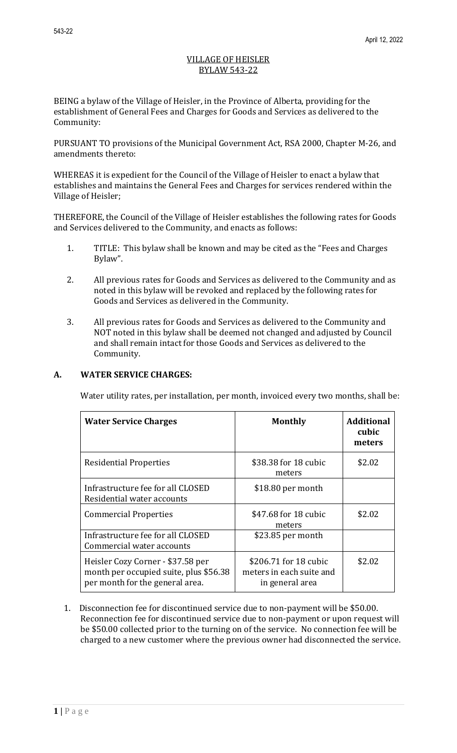## VILLAGE OF HEISLER BYLAW 543-22

BEING a bylaw of the Village of Heisler, in the Province of Alberta, providing for the establishment of General Fees and Charges for Goods and Services as delivered to the Community:

PURSUANT TO provisions of the Municipal Government Act, RSA 2000, Chapter M-26, and amendments thereto:

WHEREAS it is expedient for the Council of the Village of Heisler to enact a bylaw that establishes and maintains the General Fees and Charges for services rendered within the Village of Heisler;

THEREFORE, the Council of the Village of Heisler establishes the following rates for Goods and Services delivered to the Community, and enacts as follows:

- 1. TITLE: This bylaw shall be known and may be cited as the "Fees and Charges Bylaw".
- 2. All previous rates for Goods and Services as delivered to the Community and as noted in this bylaw will be revoked and replaced by the following rates for Goods and Services as delivered in the Community.
- 3. All previous rates for Goods and Services as delivered to the Community and NOT noted in this bylaw shall be deemed not changed and adjusted by Council and shall remain intact for those Goods and Services as delivered to the Community.

# **A. WATER SERVICE CHARGES:**

Water utility rates, per installation, per month, invoiced every two months, shall be:

| <b>Water Service Charges</b>                                                                                   | <b>Monthly</b>                                                       | <b>Additional</b><br>cubic<br>meters |
|----------------------------------------------------------------------------------------------------------------|----------------------------------------------------------------------|--------------------------------------|
| <b>Residential Properties</b>                                                                                  | \$38.38 for 18 cubic<br>meters                                       | \$2.02                               |
| Infrastructure fee for all CLOSED<br>Residential water accounts                                                | $$18.80$ per month                                                   |                                      |
| <b>Commercial Properties</b>                                                                                   | \$47.68 for 18 cubic<br>meters                                       | \$2.02                               |
| Infrastructure fee for all CLOSED<br>Commercial water accounts                                                 | \$23.85 per month                                                    |                                      |
| Heisler Cozy Corner - \$37.58 per<br>month per occupied suite, plus \$56.38<br>per month for the general area. | \$206.71 for 18 cubic<br>meters in each suite and<br>in general area | \$2.02                               |

1. Disconnection fee for discontinued service due to non-payment will be \$50.00. Reconnection fee for discontinued service due to non-payment or upon request will be \$50.00 collected prior to the turning on of the service. No connection fee will be charged to a new customer where the previous owner had disconnected the service.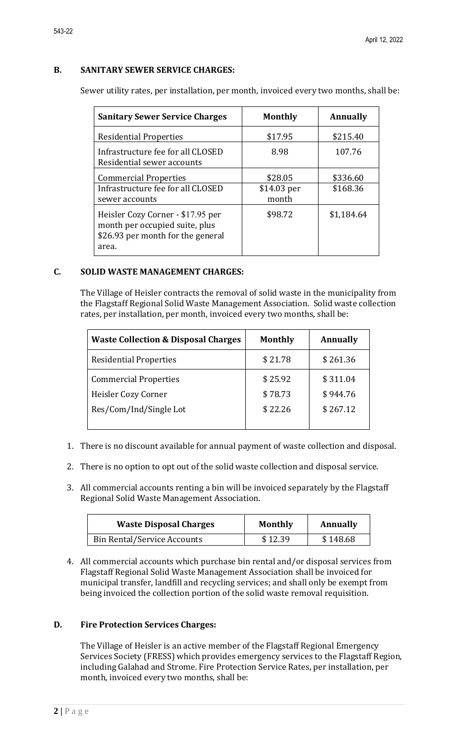### **B. SANITARY SEWER SERVICE CHARGES:**

Sewer utility rates, per installation, per month, invoiced every two months, shall be:

| <b>Sanitary Sewer Service Charges</b>                                                                             | <b>Monthly</b>                  | Annually             |
|-------------------------------------------------------------------------------------------------------------------|---------------------------------|----------------------|
| <b>Residential Properties</b>                                                                                     | \$17.95                         | \$215.40             |
| Infrastructure fee for all CLOSED<br>Residential sewer accounts                                                   | 8.98                            | 107.76               |
| <b>Commercial Properties</b><br>Infrastructure fee for all CLOSED<br>sewer accounts                               | \$28.05<br>\$14.03 per<br>month | \$336.60<br>\$168.36 |
| Heisler Cozy Corner - \$17.95 per<br>month per occupied suite, plus<br>\$26.93 per month for the general<br>area. | \$98.72                         | \$1,184.64           |

### **C. SOLID WASTE MANAGEMENT CHARGES:**

The Village of Heisler contracts the removal of solid waste in the municipality from the Flagstaff Regional Solid Waste Management Association. Solid waste collection rates, per installation, per month, invoiced every two months, shall be:

| <b>Waste Collection &amp; Disposal Charges</b> | <b>Monthly</b> | Annually |
|------------------------------------------------|----------------|----------|
| <b>Residential Properties</b>                  | \$21.78        | \$261.36 |
| <b>Commercial Properties</b>                   | \$25.92        | \$311.04 |
| Heisler Cozy Corner                            | \$78.73        | \$944.76 |
| Res/Com/Ind/Single Lot                         | \$22.26        | \$267.12 |
|                                                |                |          |

- 1. There is no discount available for annual payment of waste collection and disposal.
- 2. There is no option to opt out of the solid waste collection and disposal service.
- 3. All commercial accounts renting a bin will be invoiced separately by the Flagstaff Regional Solid Waste Management Association.

| <b>Waste Disposal Charges</b>      | <b>Monthly</b> | Annually |
|------------------------------------|----------------|----------|
| <b>Bin Rental/Service Accounts</b> | \$12.39        | \$148.68 |

4. All commercial accounts which purchase bin rental and/or disposal services from Flagstaff Regional Solid Waste Management Association shall be invoiced for municipal transfer, landfill and recycling services; and shall only be exempt from being invoiced the collection portion of the solid waste removal requisition.

#### **D. Fire Protection Services Charges:**

The Village of Heisler is an active member of the Flagstaff Regional Emergency Services Society (FRESS) which provides emergency services to the Flagstaff Region, including Galahad and Strome. Fire Protection Service Rates, per installation, per month, invoiced every two months, shall be: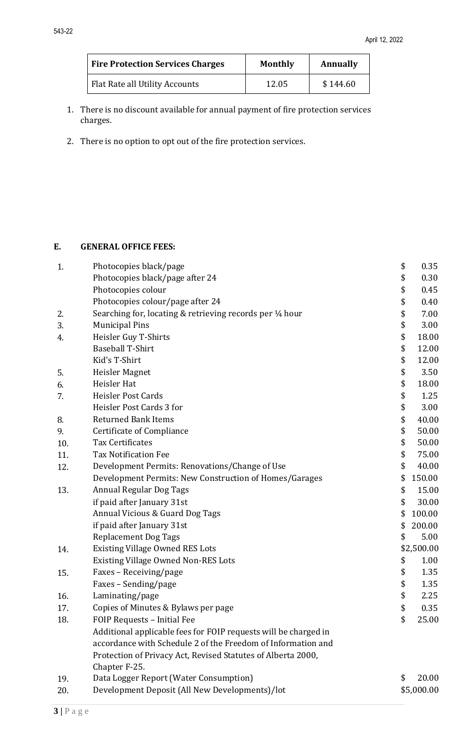| <b>Fire Protection Services Charges</b> | <b>Monthly</b> | Annually |
|-----------------------------------------|----------------|----------|
| Flat Rate all Utility Accounts          | 12.05          | \$144.60 |

- 1. There is no discount available for annual payment of fire protection services charges.
- 2. There is no option to opt out of the fire protection services.

# **E. GENERAL OFFICE FEES:**

| 1.  | Photocopies black/page                                          | \$<br>0.35   |
|-----|-----------------------------------------------------------------|--------------|
|     | Photocopies black/page after 24                                 | \$<br>0.30   |
|     | Photocopies colour                                              | \$<br>0.45   |
|     | Photocopies colour/page after 24                                | \$<br>0.40   |
| 2.  | Searching for, locating & retrieving records per 1/4 hour       | \$<br>7.00   |
| 3.  | <b>Municipal Pins</b>                                           | \$<br>3.00   |
| 4.  | Heisler Guy T-Shirts                                            | \$<br>18.00  |
|     | <b>Baseball T-Shirt</b>                                         | \$<br>12.00  |
|     | Kid's T-Shirt                                                   | \$<br>12.00  |
| 5.  | Heisler Magnet                                                  | \$<br>3.50   |
| 6.  | Heisler Hat                                                     | \$<br>18.00  |
| 7.  | Heisler Post Cards                                              | \$<br>1.25   |
|     | Heisler Post Cards 3 for                                        | \$<br>3.00   |
| 8.  | <b>Returned Bank Items</b>                                      | \$<br>40.00  |
| 9.  | Certificate of Compliance                                       | \$<br>50.00  |
| 10. | <b>Tax Certificates</b>                                         | \$<br>50.00  |
| 11. | <b>Tax Notification Fee</b>                                     | \$<br>75.00  |
| 12. | Development Permits: Renovations/Change of Use                  | \$<br>40.00  |
|     | Development Permits: New Construction of Homes/Garages          | \$<br>150.00 |
| 13. | <b>Annual Regular Dog Tags</b>                                  | \$<br>15.00  |
|     | if paid after January 31st                                      | \$<br>30.00  |
|     | Annual Vicious & Guard Dog Tags                                 | \$<br>100.00 |
|     | if paid after January 31st                                      | \$<br>200.00 |
|     | <b>Replacement Dog Tags</b>                                     | \$<br>5.00   |
| 14. | <b>Existing Village Owned RES Lots</b>                          | \$2,500.00   |
|     | <b>Existing Village Owned Non-RES Lots</b>                      | \$<br>1.00   |
| 15. | Faxes - Receiving/page                                          | \$<br>1.35   |
|     | Faxes - Sending/page                                            | \$<br>1.35   |
| 16. | Laminating/page                                                 | \$<br>2.25   |
| 17. | Copies of Minutes & Bylaws per page                             | \$<br>0.35   |
| 18. | FOIP Requests - Initial Fee                                     | \$<br>25.00  |
|     | Additional applicable fees for FOIP requests will be charged in |              |
|     | accordance with Schedule 2 of the Freedom of Information and    |              |
|     | Protection of Privacy Act, Revised Statutes of Alberta 2000,    |              |
|     | Chapter F-25.                                                   |              |
| 19. | Data Logger Report (Water Consumption)                          | \$<br>20.00  |
| 20. | Development Deposit (All New Developments)/lot                  | \$5,000.00   |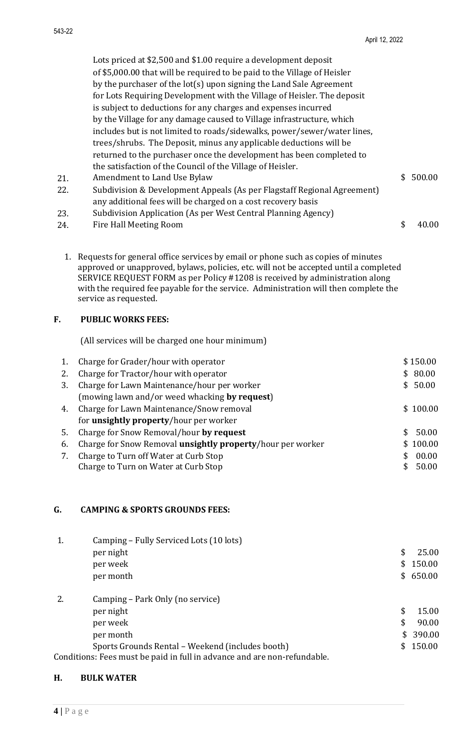Lots priced at \$2,500 and \$1.00 require a development deposit of \$5,000.00 that will be required to be paid to the Village of Heisler by the purchaser of the lot(s) upon signing the Land Sale Agreement for Lots Requiring Development with the Village of Heisler. The deposit is subject to deductions for any charges and expenses incurred by the Village for any damage caused to Village infrastructure, which includes but is not limited to roads/sidewalks, power/sewer/water lines, trees/shrubs. The Deposit, minus any applicable deductions will be returned to the purchaser once the development has been completed to the satisfaction of the Council of the Village of Heisler. 21. Amendment to Land Use Bylaw \$ 500.00

- 22. Subdivision & Development Appeals (As per Flagstaff Regional Agreement) any additional fees will be charged on a cost recovery basis
- 23. Subdivision Application (As per West Central Planning Agency)
- 24. Fire Hall Meeting Room \$ 40.00
	- 1. Requests for general office services by email or phone such as copies of minutes approved or unapproved, bylaws, policies, etc. will not be accepted until a completed SERVICE REQUEST FORM as per Policy #1208 is received by administration along with the required fee payable for the service. Administration will then complete the service as requested.

### **F. PUBLIC WORKS FEES:**

(All services will be charged one hour minimum)

|    | Charge for Grader/hour with operator                       | \$150.00     |
|----|------------------------------------------------------------|--------------|
| 2. | Charge for Tractor/hour with operator                      | \$80.00      |
| 3. | Charge for Lawn Maintenance/hour per worker                | \$50.00      |
|    | (mowing lawn and/or weed whacking by request)              |              |
| 4. | Charge for Lawn Maintenance/Snow removal                   | \$100.00     |
|    | for <b>unsightly property</b> /hour per worker             |              |
| 5. | Charge for Snow Removal/hour by request                    | 50.00<br>\$. |
| 6. | Charge for Snow Removal unsightly property/hour per worker | \$100.00     |
| 7. | Charge to Turn off Water at Curb Stop                      | 00.00        |
|    | Charge to Turn on Water at Curb Stop                       | 50.00        |

### **G. CAMPING & SPORTS GROUNDS FEES:**

|    | Camping – Fully Serviced Lots (10 lots)                                  |             |
|----|--------------------------------------------------------------------------|-------------|
|    | per night                                                                | \$<br>25.00 |
|    | per week                                                                 | \$150.00    |
|    | per month                                                                | \$650.00    |
| 2. | Camping – Park Only (no service)                                         |             |
|    | per night                                                                | \$<br>15.00 |
|    | per week                                                                 | \$<br>90.00 |
|    | per month                                                                | \$390.00    |
|    | Sports Grounds Rental – Weekend (includes booth)                         | \$150.00    |
|    | Conditions: Fees must be paid in full in advance and are non-refundable. |             |

#### **H. BULK WATER**